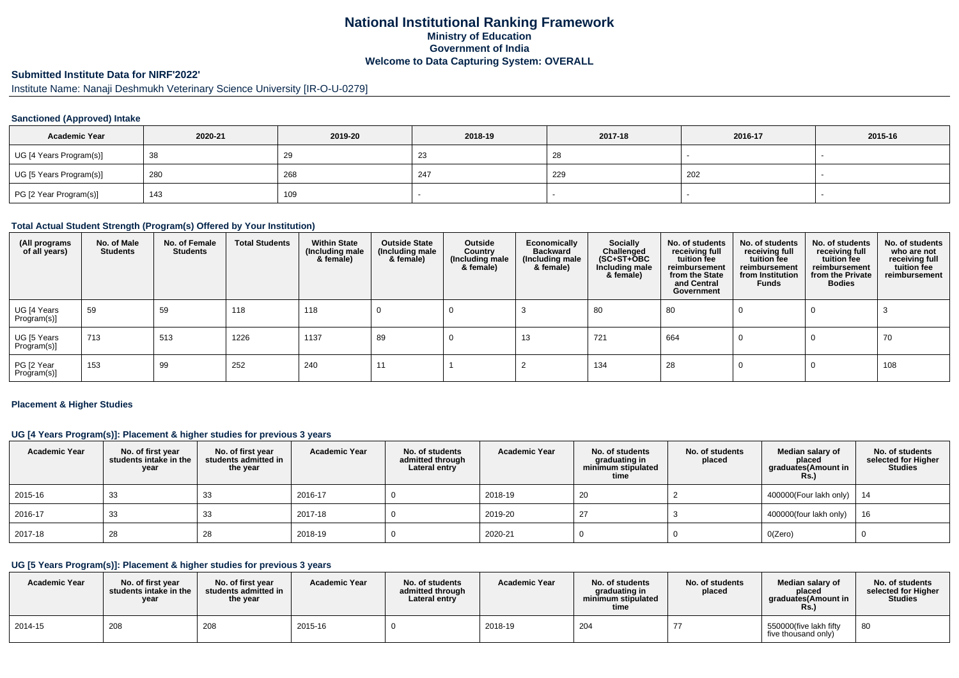# **National Institutional Ranking FrameworkMinistry of Education Government of IndiaWelcome to Data Capturing System: OVERALL**

# **Submitted Institute Data for NIRF'2022'**

Institute Name: Nanaji Deshmukh Veterinary Science University [IR-O-U-0279]

#### **Sanctioned (Approved) Intake**

| <b>Academic Year</b>    | 2020-21 | 2019-20 | 2018-19    | 2017-18 | 2016-17 | 2015-16 |
|-------------------------|---------|---------|------------|---------|---------|---------|
| UG [4 Years Program(s)] | 38      | 29      | - 21<br>د∠ | 28      |         |         |
| UG [5 Years Program(s)] | 280     | 268     | 247        | 229     | 202     |         |
| PG [2 Year Program(s)]  | 143     | 109     |            |         |         |         |

#### **Total Actual Student Strength (Program(s) Offered by Your Institution)**

| (All programs<br>of all years) | No. of Male<br><b>Students</b> | No. of Female<br><b>Students</b> | <b>Total Students</b> | <b>Within State</b><br>(Including male<br>& female) | <b>Outside State</b><br>(Including male<br>& female) | Outside<br>Country<br>(Including male<br>& female) | Economically<br><b>Backward</b><br>(Including male<br>& female) | <b>Socially</b><br>Challenged<br>$(SC+ST+\text{O}BC)$<br>Including male<br>& female) | No. of students<br>receiving full<br>tuition fee<br>reimbursement<br>from the State<br>and Central<br>Government | No. of students<br>receiving full<br>tuition fee<br>reimbursement<br>from Institution<br><b>Funds</b> | No. of students<br>receiving full<br>tuition fee<br>reimbursement<br>from the Private<br><b>Bodies</b> | No. of students<br>who are not<br>receiving full<br>tuition fee<br>reimbursement |
|--------------------------------|--------------------------------|----------------------------------|-----------------------|-----------------------------------------------------|------------------------------------------------------|----------------------------------------------------|-----------------------------------------------------------------|--------------------------------------------------------------------------------------|------------------------------------------------------------------------------------------------------------------|-------------------------------------------------------------------------------------------------------|--------------------------------------------------------------------------------------------------------|----------------------------------------------------------------------------------|
| UG [4 Years<br>Program(s)]     | 59                             | 59                               | 118                   | 118                                                 |                                                      |                                                    |                                                                 | 80                                                                                   | 80                                                                                                               |                                                                                                       | 0                                                                                                      |                                                                                  |
| UG [5 Years<br>Program(s)]     | 713                            | 513                              | 1226                  | 1137                                                | 89                                                   |                                                    | 13                                                              | 721                                                                                  | 664                                                                                                              |                                                                                                       | -0                                                                                                     | 70                                                                               |
| PG [2 Year<br>Program(s)]      | 153                            | 99                               | 252                   | 240                                                 | 44                                                   |                                                    |                                                                 | 134                                                                                  | 28                                                                                                               |                                                                                                       |                                                                                                        | 108                                                                              |

#### **Placement & Higher Studies**

#### **UG [4 Years Program(s)]: Placement & higher studies for previous 3 years**

| <b>Academic Year</b> | No. of first year<br>students intake in the<br>year | No. of first year<br>students admitted in<br>the year | <b>Academic Year</b> | No. of students<br>admitted through<br>Lateral entry | <b>Academic Year</b> | No. of students<br>graduating in<br>minimum stipulated<br>time | No. of students<br>placed | Median salary of<br>placed<br>graduates(Amount in<br>Rs.) | No. of students<br>selected for Higher<br><b>Studies</b> |
|----------------------|-----------------------------------------------------|-------------------------------------------------------|----------------------|------------------------------------------------------|----------------------|----------------------------------------------------------------|---------------------------|-----------------------------------------------------------|----------------------------------------------------------|
| 2015-16              | 33                                                  | -33                                                   | 2016-17              |                                                      | 2018-19              | 20                                                             |                           | 400000(Four lakh only)   14                               |                                                          |
| 2016-17              | 33                                                  | -33                                                   | 2017-18              |                                                      | 2019-20              | -27                                                            |                           | 400000(four lakh only)                                    | 16                                                       |
| 2017-18              | 28                                                  | 28                                                    | 2018-19              |                                                      | 2020-21              |                                                                |                           | O(Zero)                                                   |                                                          |

# **UG [5 Years Program(s)]: Placement & higher studies for previous 3 years**

| <b>Academic Year</b> | No. of first year<br>students intake in the<br>year | No. of first vear<br>students admitted in<br>the year | <b>Academic Year</b> | No. of students<br>admitted through<br>Lateral entry | <b>Academic Year</b> | No. of students<br>araduating in<br>minimum stipulated<br>time | No. of students<br>placed | Median salary of<br>placed<br>araduates(Amount in<br><b>Rs.</b> ) | No. of students<br>selected for Higher<br>Studies |
|----------------------|-----------------------------------------------------|-------------------------------------------------------|----------------------|------------------------------------------------------|----------------------|----------------------------------------------------------------|---------------------------|-------------------------------------------------------------------|---------------------------------------------------|
| 2014-15              | 208                                                 | 208                                                   | 2015-16              |                                                      | 2018-19              | 204                                                            |                           | 550000(five lakh fifty<br>five thousand only)                     | 80                                                |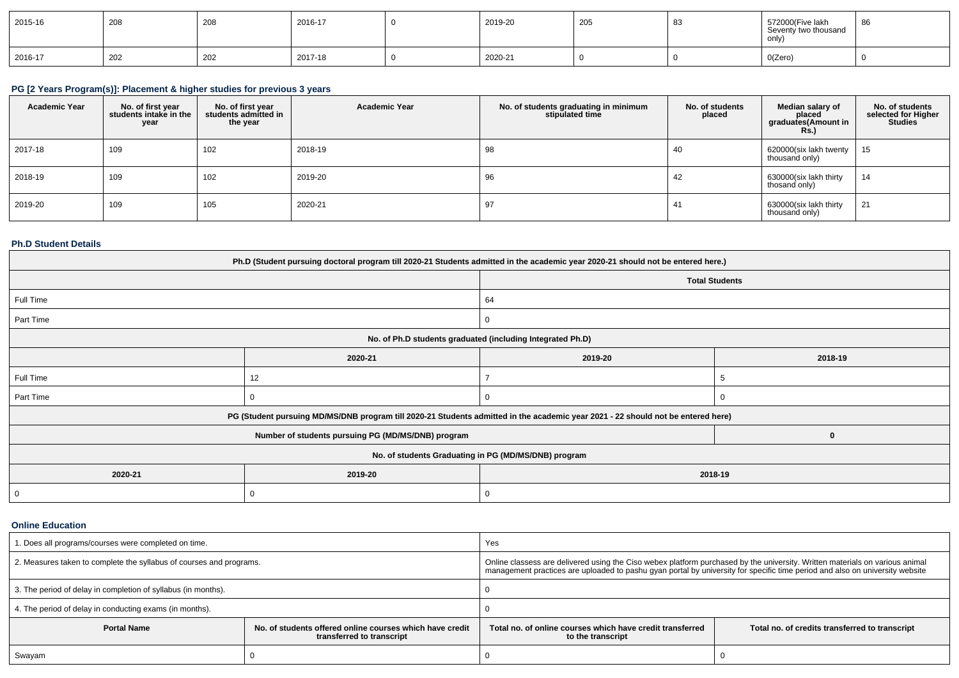| 2015-16 | 208 | $\sim$<br>zuc | 2016-17 | 2019-20 | 205 | n c<br>ັບເ | 572000(Five lakh<br>Seventy two thousand<br>only) | 86 |
|---------|-----|---------------|---------|---------|-----|------------|---------------------------------------------------|----|
| 2016-17 | 202 | $\sim$<br>202 | 2017-18 | 2020-21 |     |            | O(Zero)                                           |    |

# **PG [2 Years Program(s)]: Placement & higher studies for previous 3 years**

| <b>Academic Year</b> | No. of first year<br>students intake in the<br>year | No. of first year<br>students admitted in<br>the year | <b>Academic Year</b> | No. of students graduating in minimum<br>stipulated time | No. of students<br>placed | Median salary of<br>placed<br>graduates(Amount in<br>Rs. | No. of students<br>selected for Higher<br>Studies |
|----------------------|-----------------------------------------------------|-------------------------------------------------------|----------------------|----------------------------------------------------------|---------------------------|----------------------------------------------------------|---------------------------------------------------|
| 2017-18              | 109                                                 | 102                                                   | 2018-19              | 98                                                       | -40                       | 620000(six lakh twenty<br>thousand only)                 | 15                                                |
| 2018-19              | 109                                                 | 102                                                   | 2019-20              | 96                                                       | 42                        | 630000(six lakh thirty<br>thosand only)                  | 14                                                |
| 2019-20              | 109                                                 | 105                                                   | 2020-21              | 97                                                       | -41                       | 630000(six lakh thirty<br>thousand only)                 | 21                                                |

#### **Ph.D Student Details**

| Ph.D (Student pursuing doctoral program till 2020-21 Students admitted in the academic year 2020-21 should not be entered here.) |                                                    |                                                                                                                                  |             |  |  |  |  |
|----------------------------------------------------------------------------------------------------------------------------------|----------------------------------------------------|----------------------------------------------------------------------------------------------------------------------------------|-------------|--|--|--|--|
|                                                                                                                                  |                                                    | <b>Total Students</b>                                                                                                            |             |  |  |  |  |
| Full Time                                                                                                                        |                                                    | 64                                                                                                                               |             |  |  |  |  |
| Part Time                                                                                                                        |                                                    |                                                                                                                                  |             |  |  |  |  |
| No. of Ph.D students graduated (including Integrated Ph.D)                                                                       |                                                    |                                                                                                                                  |             |  |  |  |  |
|                                                                                                                                  | 2020-21                                            | 2019-20                                                                                                                          | 2018-19     |  |  |  |  |
| Full Time                                                                                                                        | 12                                                 |                                                                                                                                  |             |  |  |  |  |
| Part Time                                                                                                                        |                                                    |                                                                                                                                  |             |  |  |  |  |
|                                                                                                                                  |                                                    | PG (Student pursuing MD/MS/DNB program till 2020-21 Students admitted in the academic year 2021 - 22 should not be entered here) |             |  |  |  |  |
|                                                                                                                                  | Number of students pursuing PG (MD/MS/DNB) program |                                                                                                                                  | $\mathbf 0$ |  |  |  |  |
|                                                                                                                                  |                                                    | No. of students Graduating in PG (MD/MS/DNB) program                                                                             |             |  |  |  |  |
| 2020-21                                                                                                                          | 2019-20<br>2018-19                                 |                                                                                                                                  |             |  |  |  |  |
| 0                                                                                                                                | 0                                                  |                                                                                                                                  |             |  |  |  |  |

#### **Online Education**

| I. Does all programs/courses were completed on time.                |                                                                                       | Yes                                                                                                                                                                                                                                                          |  |  |  |
|---------------------------------------------------------------------|---------------------------------------------------------------------------------------|--------------------------------------------------------------------------------------------------------------------------------------------------------------------------------------------------------------------------------------------------------------|--|--|--|
| 2. Measures taken to complete the syllabus of courses and programs. |                                                                                       | Online classess are delivered using the Ciso webex platform purchased by the university. Written materials on various animal<br>management practices are uploaded to pashu gyan portal by university for specific time period and also on university website |  |  |  |
| 3. The period of delay in completion of syllabus (in months).       |                                                                                       |                                                                                                                                                                                                                                                              |  |  |  |
| 4. The period of delay in conducting exams (in months).             |                                                                                       |                                                                                                                                                                                                                                                              |  |  |  |
| <b>Portal Name</b>                                                  | No. of students offered online courses which have credit<br>transferred to transcript | Total no, of online courses which have credit transferred<br>Total no. of credits transferred to transcript<br>to the transcript                                                                                                                             |  |  |  |
| Swayam                                                              |                                                                                       |                                                                                                                                                                                                                                                              |  |  |  |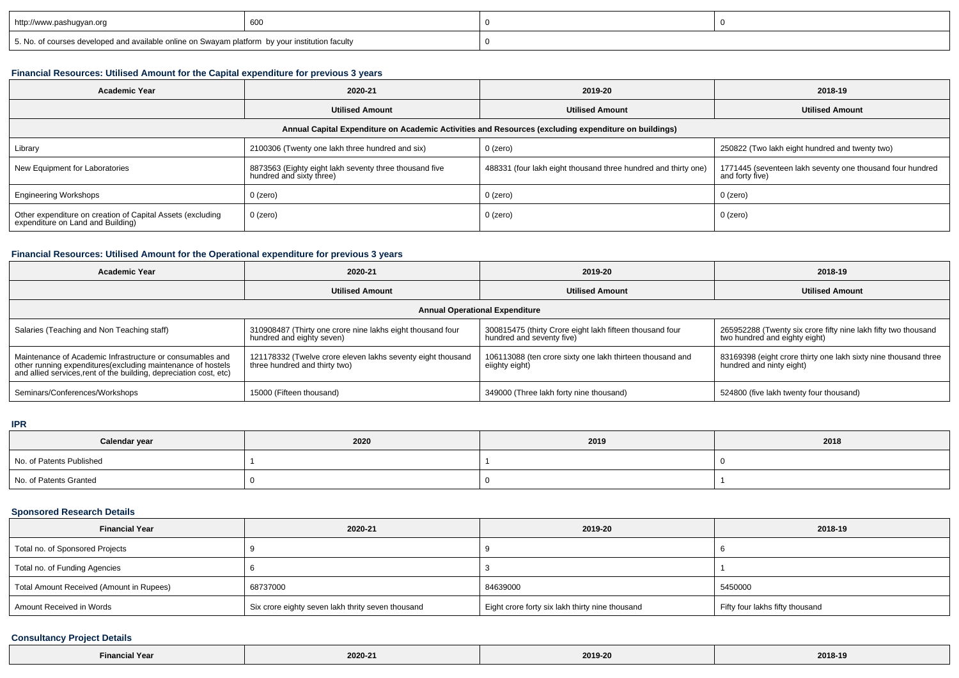| http://www.pashugyan.org                                                                        | 600 |  |
|-------------------------------------------------------------------------------------------------|-----|--|
| 5. No. of courses developed and available online on Swayam platform by your institution faculty |     |  |

#### **Financial Resources: Utilised Amount for the Capital expenditure for previous 3 years**

| <b>Academic Year</b>                                                                                 | 2020-21                                                                            | 2019-20                                                        | 2018-19                                                                      |  |  |  |  |  |
|------------------------------------------------------------------------------------------------------|------------------------------------------------------------------------------------|----------------------------------------------------------------|------------------------------------------------------------------------------|--|--|--|--|--|
|                                                                                                      | <b>Utilised Amount</b>                                                             | <b>Utilised Amount</b>                                         | <b>Utilised Amount</b>                                                       |  |  |  |  |  |
| Annual Capital Expenditure on Academic Activities and Resources (excluding expenditure on buildings) |                                                                                    |                                                                |                                                                              |  |  |  |  |  |
| Library                                                                                              | 2100306 (Twenty one lakh three hundred and six)                                    | $0$ (zero)                                                     | 250822 (Two lakh eight hundred and twenty two)                               |  |  |  |  |  |
| New Equipment for Laboratories                                                                       | 8873563 (Eighty eight lakh seventy three thousand five<br>hundred and sixty three) | 488331 (four lakh eight thousand three hundred and thirty one) | 1771445 (seventeen lakh seventy one thousand four hundred<br>and forty five) |  |  |  |  |  |
| <b>Engineering Workshops</b>                                                                         | 0 (zero)                                                                           | $0$ (zero)                                                     | $0$ (zero)                                                                   |  |  |  |  |  |
| Other expenditure on creation of Capital Assets (excluding<br>expenditure on Land and Building)      | 0 (zero)                                                                           | $0$ (zero)                                                     | $0$ (zero)                                                                   |  |  |  |  |  |

# **Financial Resources: Utilised Amount for the Operational expenditure for previous 3 years**

| <b>Academic Year</b>                                                                                                                                                                            | 2020-21                                                                                      | 2019-20                                                                               | 2018-19                                                                                         |  |  |  |  |
|-------------------------------------------------------------------------------------------------------------------------------------------------------------------------------------------------|----------------------------------------------------------------------------------------------|---------------------------------------------------------------------------------------|-------------------------------------------------------------------------------------------------|--|--|--|--|
|                                                                                                                                                                                                 | <b>Utilised Amount</b>                                                                       | <b>Utilised Amount</b>                                                                | <b>Utilised Amount</b>                                                                          |  |  |  |  |
| <b>Annual Operational Expenditure</b>                                                                                                                                                           |                                                                                              |                                                                                       |                                                                                                 |  |  |  |  |
| Salaries (Teaching and Non Teaching staff)                                                                                                                                                      | 310908487 (Thirty one crore nine lakhs eight thousand four<br>hundred and eighty seven)      | 300815475 (thirty Crore eight lakh fifteen thousand four<br>hundred and seventy five) | 265952288 (Twenty six crore fifty nine lakh fifty two thousand<br>two hundred and eighty eight) |  |  |  |  |
| Maintenance of Academic Infrastructure or consumables and<br>other running expenditures (excluding maintenance of hostels<br>and allied services, rent of the building, depreciation cost, etc) | 121178332 (Twelve crore eleven lakhs seventy eight thousand<br>three hundred and thirty two) | 106113088 (ten crore sixty one lakh thirteen thousand and<br>eiighty eight)           | 83169398 (eight crore thirty one lakh sixty nine thousand three<br>hundred and ninty eight)     |  |  |  |  |
| Seminars/Conferences/Workshops                                                                                                                                                                  | 15000 (Fifteen thousand)                                                                     | 349000 (Three lakh forty nine thousand)                                               | 524800 (five lakh twenty four thousand)                                                         |  |  |  |  |

#### **IPR**

| Calendar year            | 2020 | 2019 | 2018 |
|--------------------------|------|------|------|
| No. of Patents Published |      |      |      |
| No. of Patents Granted   |      |      |      |

# **Sponsored Research Details**

| <b>Financial Year</b>                    | 2020-21                                           | 2019-20                                         | 2018-19                         |
|------------------------------------------|---------------------------------------------------|-------------------------------------------------|---------------------------------|
| Total no. of Sponsored Projects          |                                                   |                                                 |                                 |
| Total no. of Funding Agencies            |                                                   |                                                 |                                 |
| Total Amount Received (Amount in Rupees) | 68737000                                          | 84639000                                        | 5450000                         |
| Amount Received in Words                 | Six crore eighty seven lakh thrity seven thousand | Eight crore forty six lakh thirty nine thousand | Fifty four lakhs fifty thousand |

#### **Consultancy Project Details**

| $-$<br>.<br>Financial Year<br>the contract of the contract of the contract of the contract of the contract of the contract of the contract of | 2020-21<br>2019-20<br>. | 2018-19 |  |
|-----------------------------------------------------------------------------------------------------------------------------------------------|-------------------------|---------|--|
|-----------------------------------------------------------------------------------------------------------------------------------------------|-------------------------|---------|--|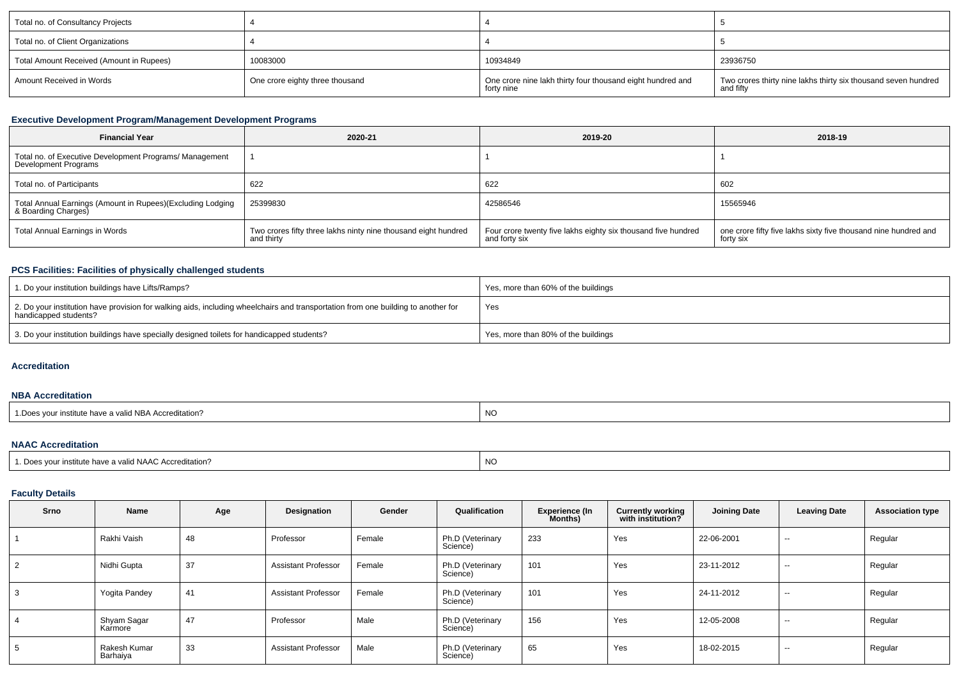| Total no. of Consultancy Projects        |                                 |                                                                          |                                                                             |
|------------------------------------------|---------------------------------|--------------------------------------------------------------------------|-----------------------------------------------------------------------------|
| Total no. of Client Organizations        |                                 |                                                                          |                                                                             |
| Total Amount Received (Amount in Rupees) | 10083000                        | 10934849                                                                 | 23936750                                                                    |
| Amount Received in Words                 | One crore eighty three thousand | One crore nine lakh thirty four thousand eight hundred and<br>forty nine | Two crores thirty nine lakhs thirty six thousand seven hundred<br>and fifty |

# **Executive Development Program/Management Development Programs**

| <b>Financial Year</b>                                                             | 2020-21                                                                      | 2019-20                                                                        | 2018-19                                                                      |
|-----------------------------------------------------------------------------------|------------------------------------------------------------------------------|--------------------------------------------------------------------------------|------------------------------------------------------------------------------|
| Total no. of Executive Development Programs/ Management<br>Development Programs   |                                                                              |                                                                                |                                                                              |
| Total no. of Participants                                                         | 622                                                                          | 622                                                                            | 602                                                                          |
| Total Annual Earnings (Amount in Rupees)(Excluding Lodging<br>& Boarding Charges) | 25399830                                                                     | 42586546                                                                       | 15565946                                                                     |
| Total Annual Earnings in Words                                                    | Two crores fifty three lakhs ninty nine thousand eight hundred<br>and thirty | Four crore twenty five lakhs eighty six thousand five hundred<br>and forty six | one crore fifty five lakhs sixty five thousand nine hundred and<br>forty six |

# **PCS Facilities: Facilities of physically challenged students**

| 1. Do your institution buildings have Lifts/Ramps?                                                                                                         | Yes, more than 60% of the buildings |
|------------------------------------------------------------------------------------------------------------------------------------------------------------|-------------------------------------|
| 2. Do your institution have provision for walking aids, including wheelchairs and transportation from one building to another for<br>handicapped students? | Yes                                 |
| 3. Do your institution buildings have specially designed toilets for handicapped students?                                                                 | Yes, more than 80% of the buildings |

#### **Accreditation**

# **NBA Accreditation**

# **NAAC Accreditation**

# **Faculty Details**

| <b>Srno</b> | Name                     | Age | Designation                | Gender | Qualification                | Experience (In<br>Months) | <b>Currently working</b><br>with institution? | <b>Joining Date</b> | <b>Leaving Date</b>      | <b>Association type</b> |
|-------------|--------------------------|-----|----------------------------|--------|------------------------------|---------------------------|-----------------------------------------------|---------------------|--------------------------|-------------------------|
|             | Rakhi Vaish              | 48  | Professor                  | Female | Ph.D (Veterinary<br>Science) | 233                       | Yes                                           | 22-06-2001          | $\sim$                   | Regular                 |
|             | Nidhi Gupta              | 37  | <b>Assistant Professor</b> | Female | Ph.D (Veterinary<br>Science) | 101                       | Yes                                           | 23-11-2012          | $- -$                    | Regular                 |
|             | Yogita Pandey            | 41  | <b>Assistant Professor</b> | Female | Ph.D (Veterinary<br>Science) | 101                       | Yes                                           | 24-11-2012          | $\overline{\phantom{a}}$ | Regular                 |
|             | Shyam Sagar<br>Karmore   | 47  | Professor                  | Male   | Ph.D (Veterinary<br>Science) | 156                       | Yes                                           | 12-05-2008          | $\sim$                   | Regular                 |
|             | Rakesh Kumar<br>Barhaiya | 33  | <b>Assistant Professor</b> | Male   | Ph.D (Veterinary<br>Science) | 65                        | Yes                                           | 18-02-2015          | $- -$                    | Regular                 |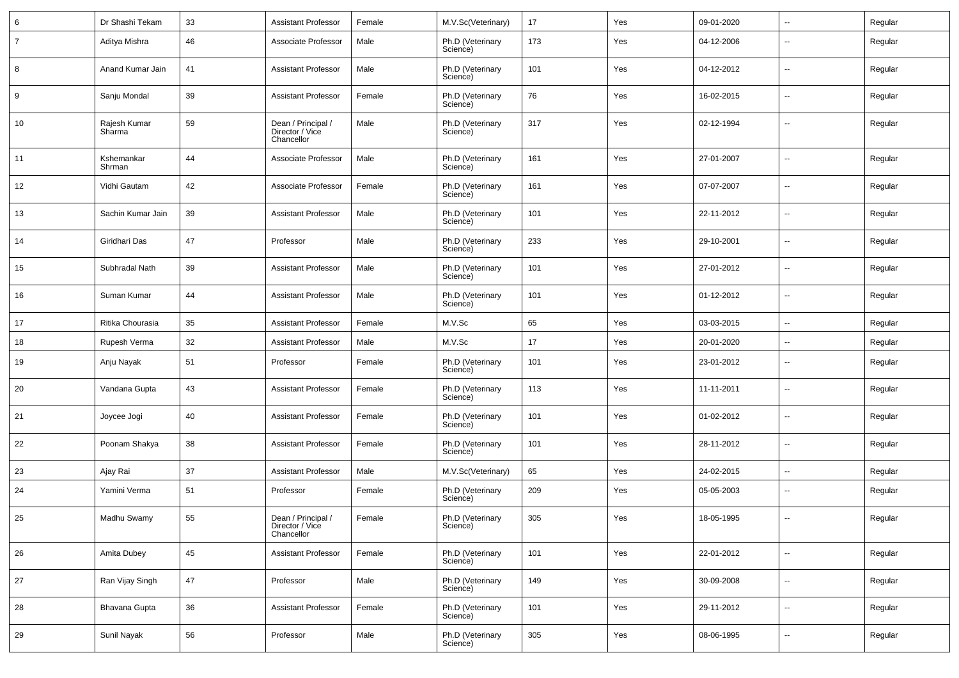| 6              | Dr Shashi Tekam        | 33 | <b>Assistant Professor</b>                          | Female | M.V.Sc(Veterinary)           | 17  | Yes | 09-01-2020 | Ξ.                       | Regular |
|----------------|------------------------|----|-----------------------------------------------------|--------|------------------------------|-----|-----|------------|--------------------------|---------|
| $\overline{7}$ | Aditya Mishra          | 46 | Associate Professor                                 | Male   | Ph.D (Veterinary<br>Science) | 173 | Yes | 04-12-2006 | --                       | Regular |
| 8              | Anand Kumar Jain       | 41 | <b>Assistant Professor</b>                          | Male   | Ph.D (Veterinary<br>Science) | 101 | Yes | 04-12-2012 | --                       | Regular |
| 9              | Sanju Mondal           | 39 | <b>Assistant Professor</b>                          | Female | Ph.D (Veterinary<br>Science) | 76  | Yes | 16-02-2015 | --                       | Regular |
| 10             | Rajesh Kumar<br>Sharma | 59 | Dean / Principal /<br>Director / Vice<br>Chancellor | Male   | Ph.D (Veterinary<br>Science) | 317 | Yes | 02-12-1994 | $\overline{a}$           | Regular |
| 11             | Kshemankar<br>Shrman   | 44 | Associate Professor                                 | Male   | Ph.D (Veterinary<br>Science) | 161 | Yes | 27-01-2007 | ⊷.                       | Regular |
| 12             | Vidhi Gautam           | 42 | Associate Professor                                 | Female | Ph.D (Veterinary<br>Science) | 161 | Yes | 07-07-2007 | ⊶.                       | Regular |
| 13             | Sachin Kumar Jain      | 39 | <b>Assistant Professor</b>                          | Male   | Ph.D (Veterinary<br>Science) | 101 | Yes | 22-11-2012 | $\overline{\phantom{a}}$ | Regular |
| 14             | Giridhari Das          | 47 | Professor                                           | Male   | Ph.D (Veterinary<br>Science) | 233 | Yes | 29-10-2001 | ⊶.                       | Regular |
| 15             | Subhradal Nath         | 39 | <b>Assistant Professor</b>                          | Male   | Ph.D (Veterinary<br>Science) | 101 | Yes | 27-01-2012 | $\overline{\phantom{a}}$ | Regular |
| 16             | Suman Kumar            | 44 | <b>Assistant Professor</b>                          | Male   | Ph.D (Veterinary<br>Science) | 101 | Yes | 01-12-2012 | ⊷.                       | Regular |
| 17             | Ritika Chourasia       | 35 | <b>Assistant Professor</b>                          | Female | M.V.Sc                       | 65  | Yes | 03-03-2015 | ⊷.                       | Regular |
| 18             | Rupesh Verma           | 32 | <b>Assistant Professor</b>                          | Male   | M.V.Sc                       | 17  | Yes | 20-01-2020 | --                       | Regular |
| 19             | Anju Nayak             | 51 | Professor                                           | Female | Ph.D (Veterinary<br>Science) | 101 | Yes | 23-01-2012 | --                       | Regular |
| 20             | Vandana Gupta          | 43 | <b>Assistant Professor</b>                          | Female | Ph.D (Veterinary<br>Science) | 113 | Yes | 11-11-2011 | $\overline{\phantom{a}}$ | Regular |
| 21             | Joycee Jogi            | 40 | <b>Assistant Professor</b>                          | Female | Ph.D (Veterinary<br>Science) | 101 | Yes | 01-02-2012 | ⊶.                       | Regular |
| 22             | Poonam Shakya          | 38 | <b>Assistant Professor</b>                          | Female | Ph.D (Veterinary<br>Science) | 101 | Yes | 28-11-2012 | $\overline{\phantom{a}}$ | Regular |
| 23             | Ajay Rai               | 37 | <b>Assistant Professor</b>                          | Male   | M.V.Sc(Veterinary)           | 65  | Yes | 24-02-2015 | ⊷.                       | Regular |
| 24             | Yamini Verma           | 51 | Professor                                           | Female | Ph.D (Veterinary<br>Science) | 209 | Yes | 05-05-2003 | --                       | Regular |
| 25             | Madhu Swamy            | 55 | Dean / Principal /<br>Director / Vice<br>Chancellor | Female | Ph.D (Veterinary<br>Science) | 305 | Yes | 18-05-1995 | --                       | Regular |
| 26             | Amita Dubey            | 45 | <b>Assistant Professor</b>                          | Female | Ph.D (Veterinary<br>Science) | 101 | Yes | 22-01-2012 | $\overline{\phantom{a}}$ | Regular |
| 27             | Ran Vijay Singh        | 47 | Professor                                           | Male   | Ph.D (Veterinary<br>Science) | 149 | Yes | 30-09-2008 | $\sim$                   | Regular |
| 28             | Bhavana Gupta          | 36 | <b>Assistant Professor</b>                          | Female | Ph.D (Veterinary<br>Science) | 101 | Yes | 29-11-2012 | $\overline{\phantom{a}}$ | Regular |
| 29             | Sunil Nayak            | 56 | Professor                                           | Male   | Ph.D (Veterinary<br>Science) | 305 | Yes | 08-06-1995 | -−                       | Regular |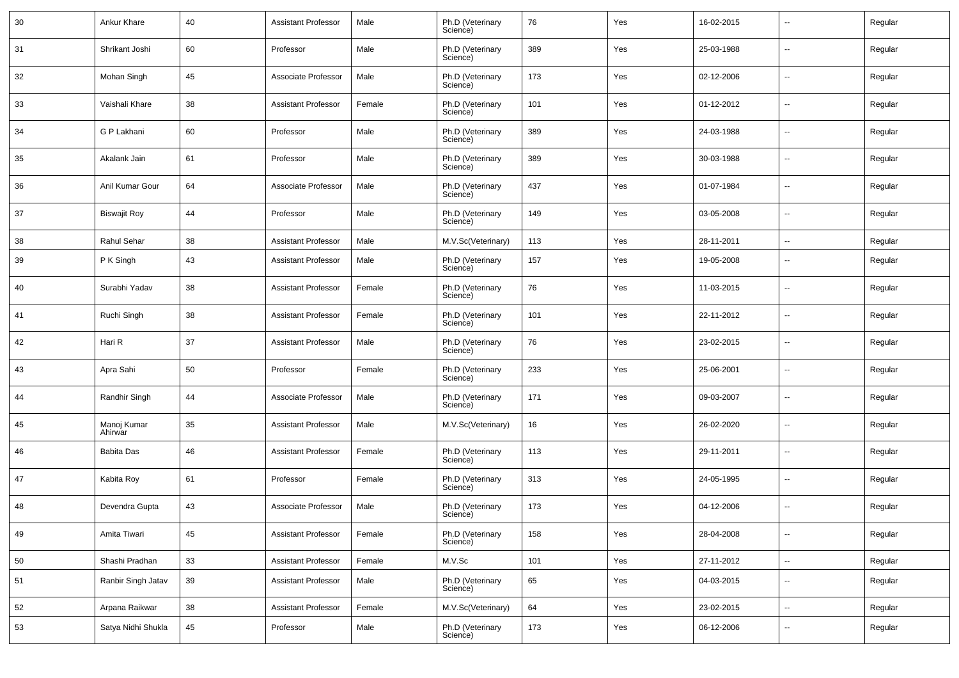| 30 | Ankur Khare            | 40 | <b>Assistant Professor</b> | Male   | Ph.D (Veterinary<br>Science) | 76  | Yes | 16-02-2015 | ⊶.                       | Regular |
|----|------------------------|----|----------------------------|--------|------------------------------|-----|-----|------------|--------------------------|---------|
| 31 | Shrikant Joshi         | 60 | Professor                  | Male   | Ph.D (Veterinary<br>Science) | 389 | Yes | 25-03-1988 | ⊷.                       | Regular |
| 32 | Mohan Singh            | 45 | Associate Professor        | Male   | Ph.D (Veterinary<br>Science) | 173 | Yes | 02-12-2006 | ⊷.                       | Regular |
| 33 | Vaishali Khare         | 38 | <b>Assistant Professor</b> | Female | Ph.D (Veterinary<br>Science) | 101 | Yes | 01-12-2012 | ⊷.                       | Regular |
| 34 | G P Lakhani            | 60 | Professor                  | Male   | Ph.D (Veterinary<br>Science) | 389 | Yes | 24-03-1988 | ⊷.                       | Regular |
| 35 | Akalank Jain           | 61 | Professor                  | Male   | Ph.D (Veterinary<br>Science) | 389 | Yes | 30-03-1988 | ⊶.                       | Regular |
| 36 | Anil Kumar Gour        | 64 | Associate Professor        | Male   | Ph.D (Veterinary<br>Science) | 437 | Yes | 01-07-1984 | ⊷.                       | Regular |
| 37 | <b>Biswajit Roy</b>    | 44 | Professor                  | Male   | Ph.D (Veterinary<br>Science) | 149 | Yes | 03-05-2008 | ⊶.                       | Regular |
| 38 | Rahul Sehar            | 38 | <b>Assistant Professor</b> | Male   | M.V.Sc(Veterinary)           | 113 | Yes | 28-11-2011 | $\sim$                   | Regular |
| 39 | P K Singh              | 43 | Assistant Professor        | Male   | Ph.D (Veterinary<br>Science) | 157 | Yes | 19-05-2008 | $\overline{\phantom{a}}$ | Regular |
| 40 | Surabhi Yadav          | 38 | <b>Assistant Professor</b> | Female | Ph.D (Veterinary<br>Science) | 76  | Yes | 11-03-2015 | ÷.                       | Regular |
| 41 | Ruchi Singh            | 38 | <b>Assistant Professor</b> | Female | Ph.D (Veterinary<br>Science) | 101 | Yes | 22-11-2012 | $\overline{\phantom{a}}$ | Regular |
| 42 | Hari R                 | 37 | <b>Assistant Professor</b> | Male   | Ph.D (Veterinary<br>Science) | 76  | Yes | 23-02-2015 | ÷.                       | Regular |
| 43 | Apra Sahi              | 50 | Professor                  | Female | Ph.D (Veterinary<br>Science) | 233 | Yes | 25-06-2001 | $\overline{\phantom{a}}$ | Regular |
| 44 | Randhir Singh          | 44 | Associate Professor        | Male   | Ph.D (Veterinary<br>Science) | 171 | Yes | 09-03-2007 | ÷.                       | Regular |
| 45 | Manoj Kumar<br>Ahirwar | 35 | <b>Assistant Professor</b> | Male   | M.V.Sc(Veterinary)           | 16  | Yes | 26-02-2020 | $\sim$                   | Regular |
| 46 | Babita Das             | 46 | Assistant Professor        | Female | Ph.D (Veterinary<br>Science) | 113 | Yes | 29-11-2011 | $\overline{\phantom{a}}$ | Regular |
| 47 | Kabita Roy             | 61 | Professor                  | Female | Ph.D (Veterinary<br>Science) | 313 | Yes | 24-05-1995 | ⊷.                       | Regular |
| 48 | Devendra Gupta         | 43 | Associate Professor        | Male   | Ph.D (Veterinary<br>Science) | 173 | Yes | 04-12-2006 | $\overline{\phantom{a}}$ | Regular |
| 49 | Amita Tiwari           | 45 | <b>Assistant Professor</b> | Female | Ph.D (Veterinary<br>Science) | 158 | Yes | 28-04-2008 | $\overline{\phantom{a}}$ | Regular |
| 50 | Shashi Pradhan         | 33 | <b>Assistant Professor</b> | Female | M.V.Sc                       | 101 | Yes | 27-11-2012 | ц.                       | Regular |
| 51 | Ranbir Singh Jatav     | 39 | <b>Assistant Professor</b> | Male   | Ph.D (Veterinary<br>Science) | 65  | Yes | 04-03-2015 | Щ,                       | Regular |
| 52 | Arpana Raikwar         | 38 | <b>Assistant Professor</b> | Female | M.V.Sc(Veterinary)           | 64  | Yes | 23-02-2015 | $\overline{\phantom{a}}$ | Regular |
| 53 | Satya Nidhi Shukla     | 45 | Professor                  | Male   | Ph.D (Veterinary<br>Science) | 173 | Yes | 06-12-2006 | -−                       | Regular |
|    |                        |    |                            |        |                              |     |     |            |                          |         |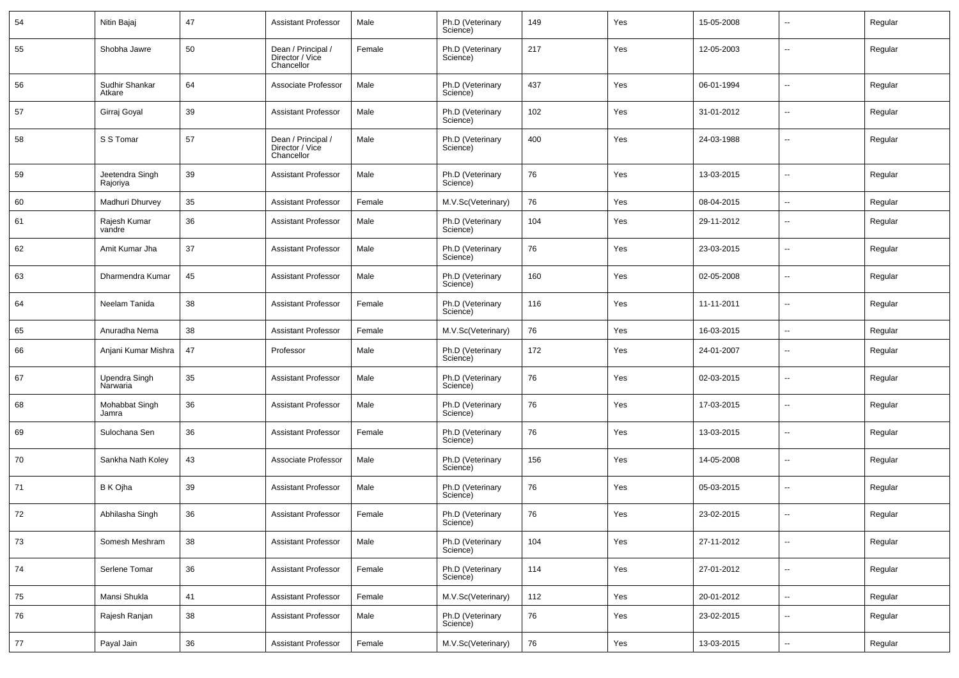| 54 | Nitin Bajaj                 | 47 | <b>Assistant Professor</b>                          | Male   | Ph.D (Veterinary<br>Science) | 149 | Yes | 15-05-2008 | $\sim$                   | Regular |
|----|-----------------------------|----|-----------------------------------------------------|--------|------------------------------|-----|-----|------------|--------------------------|---------|
| 55 | Shobha Jawre                | 50 | Dean / Principal /<br>Director / Vice<br>Chancellor | Female | Ph.D (Veterinary<br>Science) | 217 | Yes | 12-05-2003 | $\mathbf{u}$             | Regular |
| 56 | Sudhir Shankar<br>Atkare    | 64 | Associate Professor                                 | Male   | Ph.D (Veterinary<br>Science) | 437 | Yes | 06-01-1994 | $\mathbf{u}$             | Regular |
| 57 | Girraj Goyal                | 39 | <b>Assistant Professor</b>                          | Male   | Ph.D (Veterinary<br>Science) | 102 | Yes | 31-01-2012 | $\overline{\phantom{a}}$ | Regular |
| 58 | S S Tomar                   | 57 | Dean / Principal /<br>Director / Vice<br>Chancellor | Male   | Ph.D (Veterinary<br>Science) | 400 | Yes | 24-03-1988 | --                       | Regular |
| 59 | Jeetendra Singh<br>Rajoriya | 39 | <b>Assistant Professor</b>                          | Male   | Ph.D (Veterinary<br>Science) | 76  | Yes | 13-03-2015 | $\sim$                   | Regular |
| 60 | Madhuri Dhurvey             | 35 | <b>Assistant Professor</b>                          | Female | M.V.Sc(Veterinary)           | 76  | Yes | 08-04-2015 | $\sim$                   | Regular |
| 61 | Rajesh Kumar<br>vandre      | 36 | <b>Assistant Professor</b>                          | Male   | Ph.D (Veterinary<br>Science) | 104 | Yes | 29-11-2012 | $\mathbf{u}$             | Regular |
| 62 | Amit Kumar Jha              | 37 | <b>Assistant Professor</b>                          | Male   | Ph.D (Veterinary<br>Science) | 76  | Yes | 23-03-2015 | $\overline{\phantom{a}}$ | Regular |
| 63 | Dharmendra Kumar            | 45 | <b>Assistant Professor</b>                          | Male   | Ph.D (Veterinary<br>Science) | 160 | Yes | 02-05-2008 | $\overline{\phantom{a}}$ | Regular |
| 64 | Neelam Tanida               | 38 | <b>Assistant Professor</b>                          | Female | Ph.D (Veterinary<br>Science) | 116 | Yes | 11-11-2011 | --                       | Regular |
| 65 | Anuradha Nema               | 38 | <b>Assistant Professor</b>                          | Female | M.V.Sc(Veterinary)           | 76  | Yes | 16-03-2015 | $\sim$                   | Regular |
| 66 | Anjani Kumar Mishra         | 47 | Professor                                           | Male   | Ph.D (Veterinary<br>Science) | 172 | Yes | 24-01-2007 | $\sim$                   | Regular |
| 67 | Upendra Singh<br>Narwaria   | 35 | <b>Assistant Professor</b>                          | Male   | Ph.D (Veterinary<br>Science) | 76  | Yes | 02-03-2015 | $\sim$                   | Regular |
| 68 | Mohabbat Singh<br>Jamra     | 36 | <b>Assistant Professor</b>                          | Male   | Ph.D (Veterinary<br>Science) | 76  | Yes | 17-03-2015 | $\sim$                   | Regular |
| 69 | Sulochana Sen               | 36 | <b>Assistant Professor</b>                          | Female | Ph.D (Veterinary<br>Science) | 76  | Yes | 13-03-2015 | $\sim$                   | Regular |
| 70 | Sankha Nath Koley           | 43 | Associate Professor                                 | Male   | Ph.D (Veterinary<br>Science) | 156 | Yes | 14-05-2008 | $\sim$                   | Regular |
| 71 | B K Ojha                    | 39 | <b>Assistant Professor</b>                          | Male   | Ph.D (Veterinary<br>Science) | 76  | Yes | 05-03-2015 | $\sim$                   | Regular |
| 72 | Abhilasha Singh             | 36 | <b>Assistant Professor</b>                          | Female | Ph.D (Veterinary<br>Science) | 76  | Yes | 23-02-2015 | $\overline{\phantom{a}}$ | Regular |
| 73 | Somesh Meshram              | 38 | <b>Assistant Professor</b>                          | Male   | Ph.D (Veterinary<br>Science) | 104 | Yes | 27-11-2012 | $\sim$                   | Regular |
| 74 | Serlene Tomar               | 36 | <b>Assistant Professor</b>                          | Female | Ph.D (Veterinary<br>Science) | 114 | Yes | 27-01-2012 | $\sim$                   | Regular |
| 75 | Mansi Shukla                | 41 | <b>Assistant Professor</b>                          | Female | M.V.Sc(Veterinary)           | 112 | Yes | 20-01-2012 | $\sim$                   | Regular |
| 76 | Rajesh Ranjan               | 38 | <b>Assistant Professor</b>                          | Male   | Ph.D (Veterinary<br>Science) | 76  | Yes | 23-02-2015 | $\overline{\phantom{a}}$ | Regular |
| 77 | Payal Jain                  | 36 | <b>Assistant Professor</b>                          | Female | M.V.Sc(Veterinary)           | 76  | Yes | 13-03-2015 | $\sim$                   | Regular |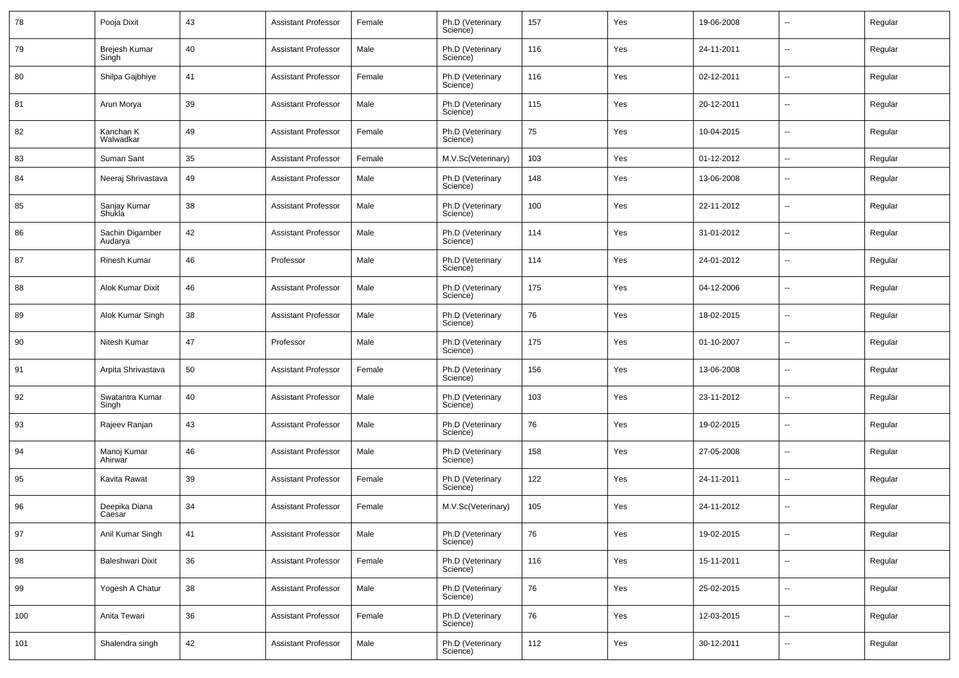| 78  | Pooja Dixit                | 43 | <b>Assistant Professor</b> | Female | Ph.D (Veterinary<br>Science) | 157 | Yes | 19-06-2008 | −−                       | Regular |
|-----|----------------------------|----|----------------------------|--------|------------------------------|-----|-----|------------|--------------------------|---------|
| 79  | Brejesh Kumar<br>Singh     | 40 | <b>Assistant Professor</b> | Male   | Ph.D (Veterinary<br>Science) | 116 | Yes | 24-11-2011 | ⊷.                       | Regular |
| 80  | Shilpa Gajbhiye            | 41 | <b>Assistant Professor</b> | Female | Ph.D (Veterinary<br>Science) | 116 | Yes | 02-12-2011 | $\sim$                   | Regular |
| 81  | Arun Morya                 | 39 | <b>Assistant Professor</b> | Male   | Ph.D (Veterinary<br>Science) | 115 | Yes | 20-12-2011 | ⊷.                       | Regular |
| 82  | Kanchan K<br>Walwadkar     | 49 | <b>Assistant Professor</b> | Female | Ph.D (Veterinary<br>Science) | 75  | Yes | 10-04-2015 | $\sim$                   | Regular |
| 83  | Suman Sant                 | 35 | <b>Assistant Professor</b> | Female | M.V.Sc(Veterinary)           | 103 | Yes | 01-12-2012 | ⊶.                       | Regular |
| 84  | Neeraj Shrivastava         | 49 | <b>Assistant Professor</b> | Male   | Ph.D (Veterinary<br>Science) | 148 | Yes | 13-06-2008 | ⊶.                       | Regular |
| 85  | Sanjay Kumar<br>Shukla     | 38 | <b>Assistant Professor</b> | Male   | Ph.D (Veterinary<br>Science) | 100 | Yes | 22-11-2012 | ÷.                       | Regular |
| 86  | Sachin Digamber<br>Audarya | 42 | <b>Assistant Professor</b> | Male   | Ph.D (Veterinary<br>Science) | 114 | Yes | 31-01-2012 | $\sim$                   | Regular |
| 87  | <b>Rinesh Kumar</b>        | 46 | Professor                  | Male   | Ph.D (Veterinary<br>Science) | 114 | Yes | 24-01-2012 | $\overline{\phantom{a}}$ | Regular |
| 88  | Alok Kumar Dixit           | 46 | <b>Assistant Professor</b> | Male   | Ph.D (Veterinary<br>Science) | 175 | Yes | 04-12-2006 | ÷.                       | Regular |
| 89  | Alok Kumar Singh           | 38 | <b>Assistant Professor</b> | Male   | Ph.D (Veterinary<br>Science) | 76  | Yes | 18-02-2015 | $\overline{\phantom{a}}$ | Regular |
| 90  | Nitesh Kumar               | 47 | Professor                  | Male   | Ph.D (Veterinary<br>Science) | 175 | Yes | 01-10-2007 | $\overline{\phantom{a}}$ | Regular |
| 91  | Arpita Shrivastava         | 50 | <b>Assistant Professor</b> | Female | Ph.D (Veterinary<br>Science) | 156 | Yes | 13-06-2008 | ⊶.                       | Regular |
| 92  | Swatantra Kumar<br>Singh   | 40 | <b>Assistant Professor</b> | Male   | Ph.D (Veterinary<br>Science) | 103 | Yes | 23-11-2012 | ÷.                       | Regular |
| 93  | Rajeev Ranjan              | 43 | <b>Assistant Professor</b> | Male   | Ph.D (Veterinary<br>Science) | 76  | Yes | 19-02-2015 | $\sim$                   | Regular |
| 94  | Manoj Kumar<br>Ahirwar     | 46 | <b>Assistant Professor</b> | Male   | Ph.D (Veterinary<br>Science) | 158 | Yes | 27-05-2008 | $\overline{\phantom{a}}$ | Regular |
| 95  | Kavita Rawat               | 39 | <b>Assistant Professor</b> | Female | Ph.D (Veterinary<br>Science) | 122 | Yes | 24-11-2011 | ⊷.                       | Regular |
| 96  | Deepika Diana<br>Caesar    | 34 | <b>Assistant Professor</b> | Female | M.V.Sc(Veterinary)           | 105 | Yes | 24-11-2012 | $\overline{\phantom{a}}$ | Regular |
| 97  | Anil Kumar Singh           | 41 | <b>Assistant Professor</b> | Male   | Ph.D (Veterinary<br>Science) | 76  | Yes | 19-02-2015 | н,                       | Regular |
| 98  | <b>Baleshwari Dixit</b>    | 36 | <b>Assistant Professor</b> | Female | Ph.D (Veterinary<br>Science) | 116 | Yes | 15-11-2011 | Щ,                       | Regular |
| 99  | Yogesh A Chatur            | 38 | <b>Assistant Professor</b> | Male   | Ph.D (Veterinary<br>Science) | 76  | Yes | 25-02-2015 | Щ,                       | Regular |
| 100 | Anita Tewari               | 36 | <b>Assistant Professor</b> | Female | Ph.D (Veterinary<br>Science) | 76  | Yes | 12-03-2015 | Щ,                       | Regular |
| 101 | Shalendra singh            | 42 | <b>Assistant Professor</b> | Male   | Ph.D (Veterinary<br>Science) | 112 | Yes | 30-12-2011 | $\overline{\phantom{a}}$ | Regular |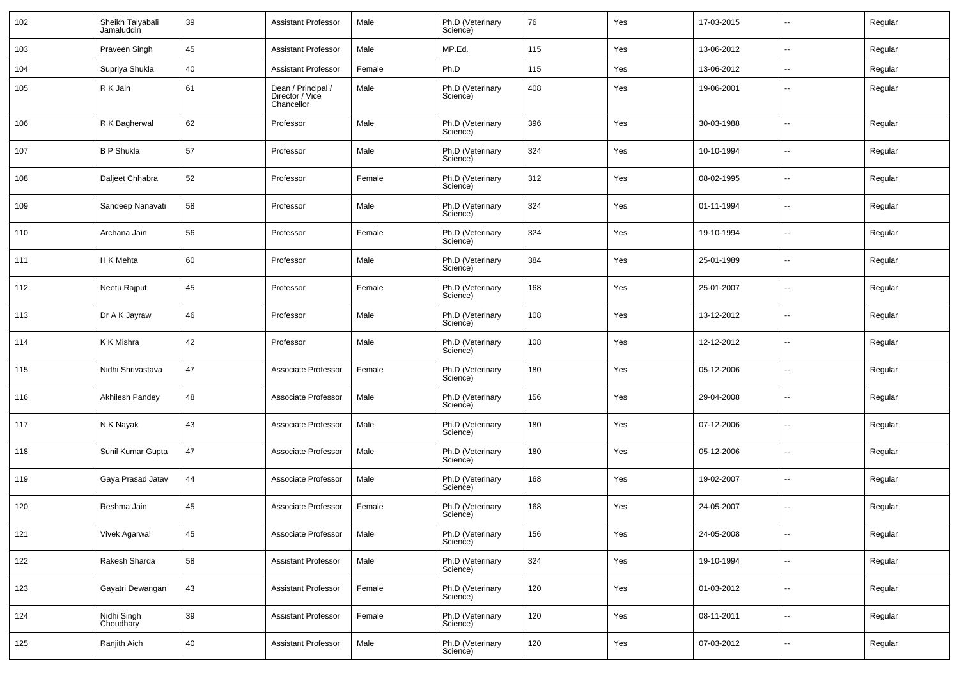| 102 | Sheikh Taiyabali<br>Jamaluddin | 39 | <b>Assistant Professor</b>                          | Male   | Ph.D (Veterinary<br>Science) | 76  | Yes | 17-03-2015 | н.                       | Regular |
|-----|--------------------------------|----|-----------------------------------------------------|--------|------------------------------|-----|-----|------------|--------------------------|---------|
| 103 | Praveen Singh                  | 45 | <b>Assistant Professor</b>                          | Male   | MP.Ed.                       | 115 | Yes | 13-06-2012 | Ξ.                       | Regular |
| 104 | Supriya Shukla                 | 40 | <b>Assistant Professor</b>                          | Female | Ph.D                         | 115 | Yes | 13-06-2012 | н.                       | Regular |
| 105 | R K Jain                       | 61 | Dean / Principal /<br>Director / Vice<br>Chancellor | Male   | Ph.D (Veterinary<br>Science) | 408 | Yes | 19-06-2001 | $\overline{\phantom{a}}$ | Regular |
| 106 | R K Bagherwal                  | 62 | Professor                                           | Male   | Ph.D (Veterinary<br>Science) | 396 | Yes | 30-03-1988 | $\overline{\phantom{a}}$ | Regular |
| 107 | <b>B P Shukla</b>              | 57 | Professor                                           | Male   | Ph.D (Veterinary<br>Science) | 324 | Yes | 10-10-1994 | $\overline{\phantom{a}}$ | Regular |
| 108 | Daljeet Chhabra                | 52 | Professor                                           | Female | Ph.D (Veterinary<br>Science) | 312 | Yes | 08-02-1995 | --                       | Regular |
| 109 | Sandeep Nanavati               | 58 | Professor                                           | Male   | Ph.D (Veterinary<br>Science) | 324 | Yes | 01-11-1994 | $\overline{\phantom{a}}$ | Regular |
| 110 | Archana Jain                   | 56 | Professor                                           | Female | Ph.D (Veterinary<br>Science) | 324 | Yes | 19-10-1994 | --                       | Regular |
| 111 | H K Mehta                      | 60 | Professor                                           | Male   | Ph.D (Veterinary<br>Science) | 384 | Yes | 25-01-1989 | $\overline{\phantom{a}}$ | Regular |
| 112 | Neetu Rajput                   | 45 | Professor                                           | Female | Ph.D (Veterinary<br>Science) | 168 | Yes | 25-01-2007 | $\overline{\phantom{a}}$ | Regular |
| 113 | Dr A K Jayraw                  | 46 | Professor                                           | Male   | Ph.D (Veterinary<br>Science) | 108 | Yes | 13-12-2012 | --                       | Regular |
| 114 | K K Mishra                     | 42 | Professor                                           | Male   | Ph.D (Veterinary<br>Science) | 108 | Yes | 12-12-2012 | $\overline{\phantom{a}}$ | Regular |
| 115 | Nidhi Shrivastava              | 47 | Associate Professor                                 | Female | Ph.D (Veterinary<br>Science) | 180 | Yes | 05-12-2006 | --                       | Regular |
| 116 | Akhilesh Pandey                | 48 | Associate Professor                                 | Male   | Ph.D (Veterinary<br>Science) | 156 | Yes | 29-04-2008 | -−                       | Regular |
| 117 | N K Nayak                      | 43 | Associate Professor                                 | Male   | Ph.D (Veterinary<br>Science) | 180 | Yes | 07-12-2006 | $\overline{\phantom{a}}$ | Regular |
| 118 | Sunil Kumar Gupta              | 47 | Associate Professor                                 | Male   | Ph.D (Veterinary<br>Science) | 180 | Yes | 05-12-2006 | -−                       | Regular |
| 119 | Gaya Prasad Jatav              | 44 | Associate Professor                                 | Male   | Ph.D (Veterinary<br>Science) | 168 | Yes | 19-02-2007 | $\overline{\phantom{a}}$ | Regular |
| 120 | Reshma Jain                    | 45 | Associate Professor                                 | Female | Ph.D (Veterinary<br>Science) | 168 | Yes | 24-05-2007 | --                       | Regular |
| 121 | Vivek Agarwal                  | 45 | Associate Professor                                 | Male   | Ph.D (Veterinary<br>Science) | 156 | Yes | 24-05-2008 | $\overline{\phantom{a}}$ | Regular |
| 122 | Rakesh Sharda                  | 58 | <b>Assistant Professor</b>                          | Male   | Ph.D (Veterinary<br>Science) | 324 | Yes | 19-10-1994 | Щ,                       | Regular |
| 123 | Gayatri Dewangan               | 43 | <b>Assistant Professor</b>                          | Female | Ph.D (Veterinary<br>Science) | 120 | Yes | 01-03-2012 | $\overline{\phantom{a}}$ | Regular |
| 124 | Nidhi Singh<br>Choudhary       | 39 | <b>Assistant Professor</b>                          | Female | Ph.D (Veterinary<br>Science) | 120 | Yes | 08-11-2011 | $\sim$                   | Regular |
| 125 | Ranjith Aich                   | 40 | <b>Assistant Professor</b>                          | Male   | Ph.D (Veterinary<br>Science) | 120 | Yes | 07-03-2012 | н.                       | Regular |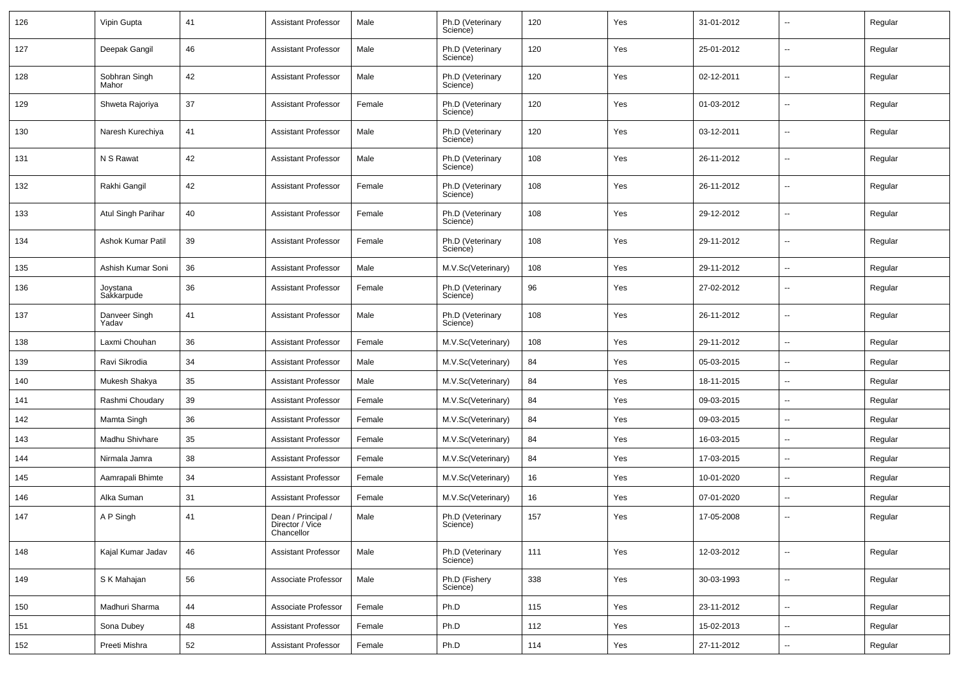| 126 | Vipin Gupta            | 41 | <b>Assistant Professor</b>                          | Male   | Ph.D (Veterinary<br>Science) | 120 | Yes | 31-01-2012 |                          | Regular |
|-----|------------------------|----|-----------------------------------------------------|--------|------------------------------|-----|-----|------------|--------------------------|---------|
| 127 | Deepak Gangil          | 46 | <b>Assistant Professor</b>                          | Male   | Ph.D (Veterinary<br>Science) | 120 | Yes | 25-01-2012 | --                       | Regular |
| 128 | Sobhran Singh<br>Mahor | 42 | <b>Assistant Professor</b>                          | Male   | Ph.D (Veterinary<br>Science) | 120 | Yes | 02-12-2011 | -−                       | Regular |
| 129 | Shweta Rajoriya        | 37 | <b>Assistant Professor</b>                          | Female | Ph.D (Veterinary<br>Science) | 120 | Yes | 01-03-2012 | --                       | Regular |
| 130 | Naresh Kurechiya       | 41 | <b>Assistant Professor</b>                          | Male   | Ph.D (Veterinary<br>Science) | 120 | Yes | 03-12-2011 | -−                       | Regular |
| 131 | N S Rawat              | 42 | <b>Assistant Professor</b>                          | Male   | Ph.D (Veterinary<br>Science) | 108 | Yes | 26-11-2012 | -−                       | Regular |
| 132 | Rakhi Gangil           | 42 | <b>Assistant Professor</b>                          | Female | Ph.D (Veterinary<br>Science) | 108 | Yes | 26-11-2012 | --                       | Regular |
| 133 | Atul Singh Parihar     | 40 | <b>Assistant Professor</b>                          | Female | Ph.D (Veterinary<br>Science) | 108 | Yes | 29-12-2012 | --                       | Regular |
| 134 | Ashok Kumar Patil      | 39 | <b>Assistant Professor</b>                          | Female | Ph.D (Veterinary<br>Science) | 108 | Yes | 29-11-2012 | --                       | Regular |
| 135 | Ashish Kumar Soni      | 36 | <b>Assistant Professor</b>                          | Male   | M.V.Sc(Veterinary)           | 108 | Yes | 29-11-2012 | -−                       | Regular |
| 136 | Joystana<br>Sakkarpude | 36 | <b>Assistant Professor</b>                          | Female | Ph.D (Veterinary<br>Science) | 96  | Yes | 27-02-2012 | --                       | Regular |
| 137 | Danveer Singh<br>Yadav | 41 | <b>Assistant Professor</b>                          | Male   | Ph.D (Veterinary<br>Science) | 108 | Yes | 26-11-2012 | -−                       | Regular |
| 138 | Laxmi Chouhan          | 36 | <b>Assistant Professor</b>                          | Female | M.V.Sc(Veterinary)           | 108 | Yes | 29-11-2012 | -−                       | Regular |
| 139 | Ravi Sikrodia          | 34 | <b>Assistant Professor</b>                          | Male   | M.V.Sc(Veterinary)           | 84  | Yes | 05-03-2015 | --                       | Regular |
| 140 | Mukesh Shakya          | 35 | <b>Assistant Professor</b>                          | Male   | M.V.Sc(Veterinary)           | 84  | Yes | 18-11-2015 | --                       | Regular |
| 141 | Rashmi Choudary        | 39 | <b>Assistant Professor</b>                          | Female | M.V.Sc(Veterinary)           | 84  | Yes | 09-03-2015 | $\overline{\phantom{a}}$ | Regular |
| 142 | Mamta Singh            | 36 | <b>Assistant Professor</b>                          | Female | M.V.Sc(Veterinary)           | 84  | Yes | 09-03-2015 | ⊷.                       | Regular |
| 143 | Madhu Shivhare         | 35 | <b>Assistant Professor</b>                          | Female | M.V.Sc(Veterinary)           | 84  | Yes | 16-03-2015 | --                       | Regular |
| 144 | Nirmala Jamra          | 38 | <b>Assistant Professor</b>                          | Female | M.V.Sc(Veterinary)           | 84  | Yes | 17-03-2015 | -−                       | Regular |
| 145 | Aamrapali Bhimte       | 34 | <b>Assistant Professor</b>                          | Female | M.V.Sc(Veterinary)           | 16  | Yes | 10-01-2020 | $\overline{a}$           | Regular |
| 146 | Alka Suman             | 31 | <b>Assistant Professor</b>                          | Female | M.V.Sc(Veterinary)           | 16  | Yes | 07-01-2020 | --                       | Regular |
| 147 | A P Singh              | 41 | Dean / Principal /<br>Director / Vice<br>Chancellor | Male   | Ph.D (Veterinary<br>ocience) | 157 | Yes | 17-05-2008 | -−                       | Regular |
| 148 | Kajal Kumar Jadav      | 46 | <b>Assistant Professor</b>                          | Male   | Ph.D (Veterinary<br>Science) | 111 | Yes | 12-03-2012 | $\sim$                   | Regular |
| 149 | S K Mahajan            | 56 | Associate Professor                                 | Male   | Ph.D (Fishery<br>Science)    | 338 | Yes | 30-03-1993 | ш.                       | Regular |
| 150 | Madhuri Sharma         | 44 | Associate Professor                                 | Female | Ph.D                         | 115 | Yes | 23-11-2012 | ш.                       | Regular |
| 151 | Sona Dubey             | 48 | <b>Assistant Professor</b>                          | Female | Ph.D                         | 112 | Yes | 15-02-2013 | $\overline{\phantom{a}}$ | Regular |
| 152 | Preeti Mishra          | 52 | <b>Assistant Professor</b>                          | Female | Ph.D                         | 114 | Yes | 27-11-2012 | щ.                       | Regular |